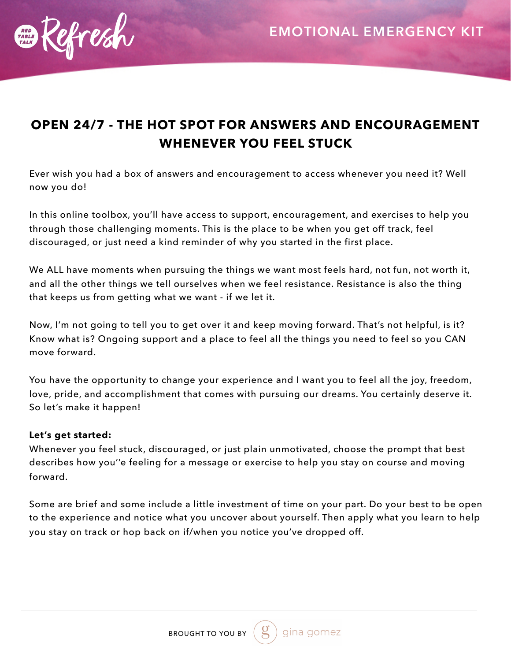

# **OPEN 24/7 - THE HOT SPOT FOR ANSWERS AND ENCOURAGEMENT WHENEVER YOU FEEL STUCK**

Ever wish you had a box of answers and encouragement to access whenever you need it? Well now you do!

In this online toolbox, you'll have access to support, encouragement, and exercises to help you through those challenging moments. This is the place to be when you get off track, feel discouraged, or just need a kind reminder of why you started in the first place.

We ALL have moments when pursuing the things we want most feels hard, not fun, not worth it, and all the other things we tell ourselves when we feel resistance. Resistance is also the thing that keeps us from getting what we want - if we let it.

Now, I'm not going to tell you to get over it and keep moving forward. That's not helpful, is it? Know what is? Ongoing support and a place to feel all the things you need to feel so you CAN move forward.

You have the opportunity to change your experience and I want you to feel all the joy, freedom, love, pride, and accomplishment that comes with pursuing our dreams. You certainly deserve it. So let's make it happen!

### **Let's get started:**

Whenever you feel stuck, discouraged, or just plain unmotivated, choose the prompt that best describes how you''e feeling for a message or exercise to help you stay on course and moving forward.

Some are brief and some include a little investment of time on your part. Do your best to be open to the experience and notice what you uncover about yourself. Then apply what you learn to help you stay on track or hop back on if/when you notice you've dropped off.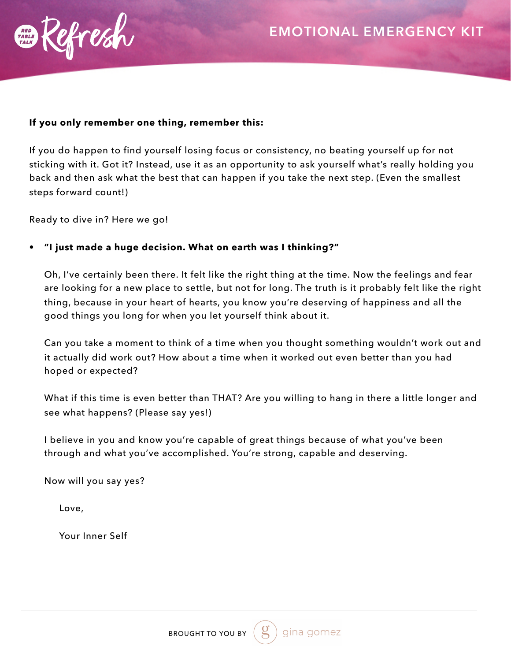

#### **If you only remember one thing, remember this:**

If you do happen to find yourself losing focus or consistency, no beating yourself up for not sticking with it. Got it? Instead, use it as an opportunity to ask yourself what's really holding you back and then ask what the best that can happen if you take the next step. (Even the smallest steps forward count!)

Ready to dive in? Here we go!

#### **• "I just made a huge decision. What on earth was I thinking?"**

Oh, I've certainly been there. It felt like the right thing at the time. Now the feelings and fear are looking for a new place to settle, but not for long. The truth is it probably felt like the right thing, because in your heart of hearts, you know you're deserving of happiness and all the good things you long for when you let yourself think about it.

Can you take a moment to think of a time when you thought something wouldn't work out and it actually did work out? How about a time when it worked out even better than you had hoped or expected?

What if this time is even better than THAT? Are you willing to hang in there a little longer and see what happens? (Please say yes!)

I believe in you and know you're capable of great things because of what you've been through and what you've accomplished. You're strong, capable and deserving.

Now will you say yes?

Love,

Your Inner Self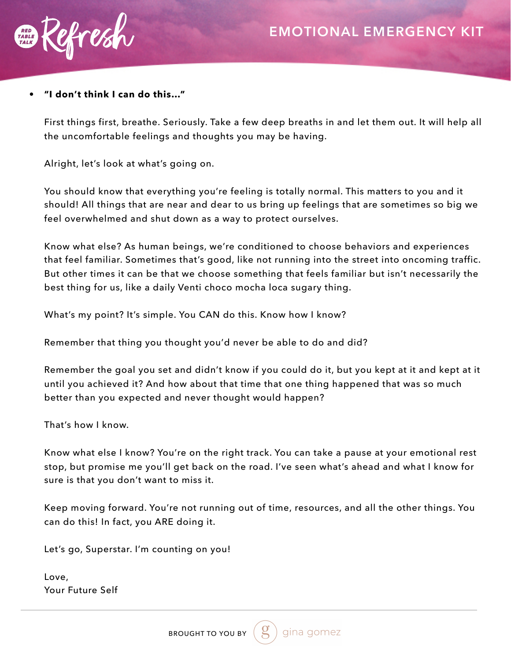

### **• "I don't think I can do this…"**

First things first, breathe. Seriously. Take a few deep breaths in and let them out. It will help all the uncomfortable feelings and thoughts you may be having.

Alright, let's look at what's going on.

You should know that everything you're feeling is totally normal. This matters to you and it should! All things that are near and dear to us bring up feelings that are sometimes so big we feel overwhelmed and shut down as a way to protect ourselves.

Know what else? As human beings, we're conditioned to choose behaviors and experiences that feel familiar. Sometimes that's good, like not running into the street into oncoming traffic. But other times it can be that we choose something that feels familiar but isn't necessarily the best thing for us, like a daily Venti choco mocha loca sugary thing.

What's my point? It's simple. You CAN do this. Know how I know?

Remember that thing you thought you'd never be able to do and did?

Remember the goal you set and didn't know if you could do it, but you kept at it and kept at it until you achieved it? And how about that time that one thing happened that was so much better than you expected and never thought would happen?

That's how I know.

Know what else I know? You're on the right track. You can take a pause at your emotional rest stop, but promise me you'll get back on the road. I've seen what's ahead and what I know for sure is that you don't want to miss it.

Keep moving forward. You're not running out of time, resources, and all the other things. You can do this! In fact, you ARE doing it.

Let's go, Superstar. I'm counting on you!

Love, Your Future Self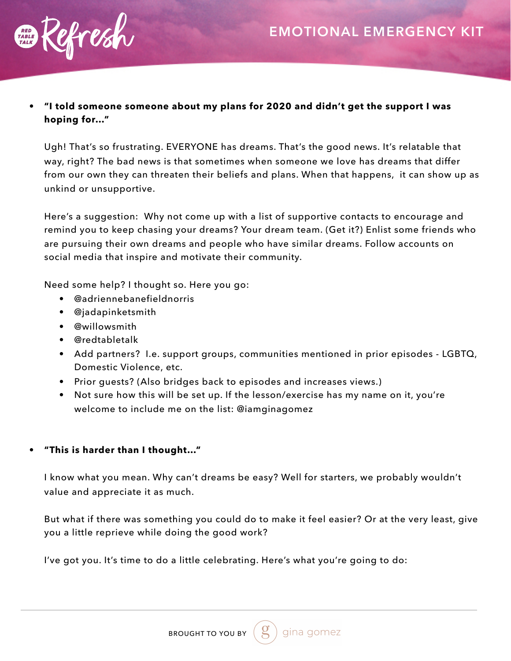

**• "I told someone someone about my plans for 2020 and didn't get the support I was hoping for…"** 

Ugh! That's so frustrating. EVERYONE has dreams. That's the good news. It's relatable that way, right? The bad news is that sometimes when someone we love has dreams that differ from our own they can threaten their beliefs and plans. When that happens, it can show up as unkind or unsupportive.

Here's a suggestion: Why not come up with a list of supportive contacts to encourage and remind you to keep chasing your dreams? Your dream team. (Get it?) Enlist some friends who are pursuing their own dreams and people who have similar dreams. Follow accounts on social media that inspire and motivate their community.

Need some help? I thought so. Here you go:

- **•** @adriennebanefieldnorris
- **•** @jadapinketsmith
- **•** @willowsmith
- **•** @redtabletalk
- **•** Add partners? I.e. support groups, communities mentioned in prior episodes LGBTQ, Domestic Violence, etc.
- **•** Prior guests? (Also bridges back to episodes and increases views.)
- **•** Not sure how this will be set up. If the lesson/exercise has my name on it, you're welcome to include me on the list: @iamginagomez

### **• "This is harder than I thought…"**

I know what you mean. Why can't dreams be easy? Well for starters, we probably wouldn't value and appreciate it as much.

But what if there was something you could do to make it feel easier? Or at the very least, give you a little reprieve while doing the good work?

I've got you. It's time to do a little celebrating. Here's what you're going to do: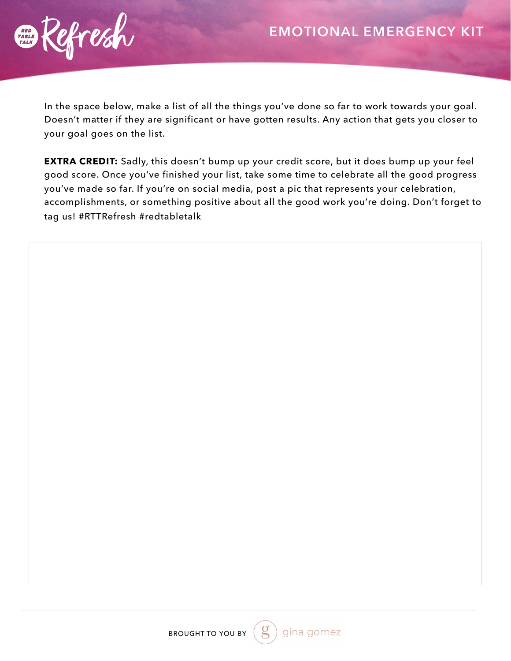

In the space below, make a list of all the things you've done so far to work towards your goal. Doesn't matter if they are significant or have gotten results. Any action that gets you closer to your goal goes on the list.

**EXTRA CREDIT:** Sadly, this doesn't bump up your credit score, but it does bump up your feel good score. Once you've finished your list, take some time to celebrate all the good progress you've made so far. If you're on social media, post a pic that represents your celebration, accomplishments, or something positive about all the good work you're doing. Don't forget to tag us! #RTTRefresh #redtabletalk

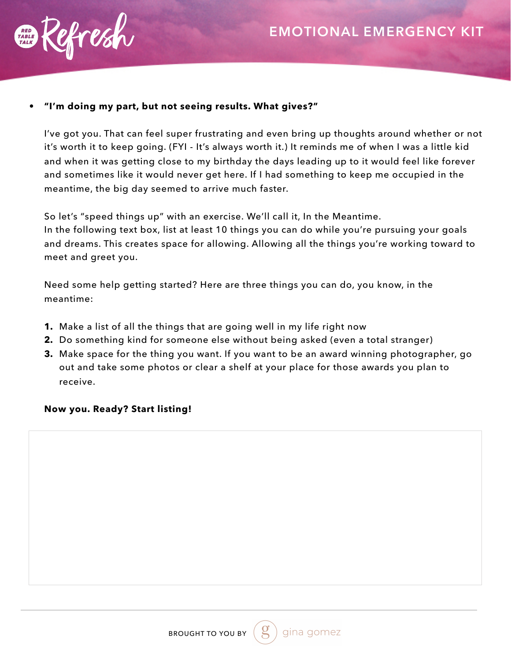

### **• "I'm doing my part, but not seeing results. What gives?"**

I've got you. That can feel super frustrating and even bring up thoughts around whether or not it's worth it to keep going. (FYI - It's always worth it.) It reminds me of when I was a little kid and when it was getting close to my birthday the days leading up to it would feel like forever and sometimes like it would never get here. If I had something to keep me occupied in the meantime, the big day seemed to arrive much faster.

So let's "speed things up" with an exercise. We'll call it, In the Meantime. In the following text box, list at least 10 things you can do while you're pursuing your goals and dreams. This creates space for allowing. Allowing all the things you're working toward to meet and greet you.

Need some help getting started? Here are three things you can do, you know, in the meantime:

- **1.** Make a list of all the things that are going well in my life right now
- **2.** Do something kind for someone else without being asked (even a total stranger)
- **3.** Make space for the thing you want. If you want to be an award winning photographer, go out and take some photos or clear a shelf at your place for those awards you plan to receive.

## **Now you. Ready? Start listing!**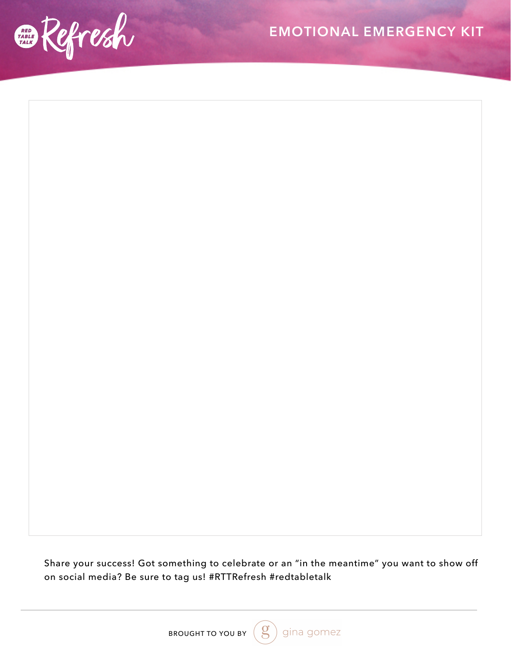

Share your success! Got something to celebrate or an "in the meantime" you want to show off on social media? Be sure to tag us! #RTTRefresh #redtabletalk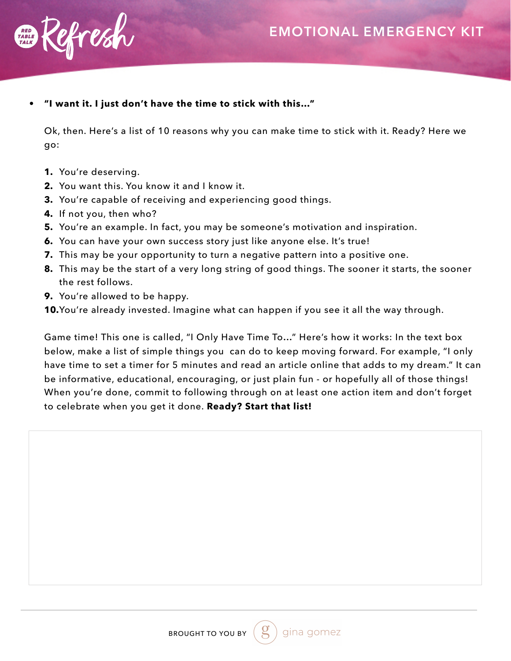

**• "I want it. I just don't have the time to stick with this…"** 

Ok, then. Here's a list of 10 reasons why you can make time to stick with it. Ready? Here we go:

- **1.** You're deserving.
- **2.** You want this. You know it and I know it.
- **3.** You're capable of receiving and experiencing good things.
- **4.** If not you, then who?
- **5.** You're an example. In fact, you may be someone's motivation and inspiration.
- **6.** You can have your own success story just like anyone else. It's true!
- **7.** This may be your opportunity to turn a negative pattern into a positive one.
- **8.** This may be the start of a very long string of good things. The sooner it starts, the sooner the rest follows.
- **9.** You're allowed to be happy.
- **10.**You're already invested. Imagine what can happen if you see it all the way through.

Game time! This one is called, "I Only Have Time To…" Here's how it works: In the text box below, make a list of simple things you can do to keep moving forward. For example, "I only have time to set a timer for 5 minutes and read an article online that adds to my dream." It can be informative, educational, encouraging, or just plain fun - or hopefully all of those things! When you're done, commit to following through on at least one action item and don't forget to celebrate when you get it done. **Ready? Start that list!**

gina gomez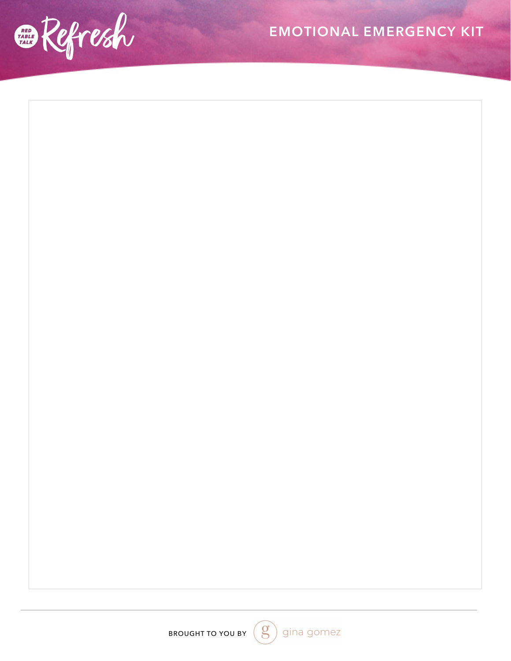

# **EMOTIONAL EMERGENCY KIT**



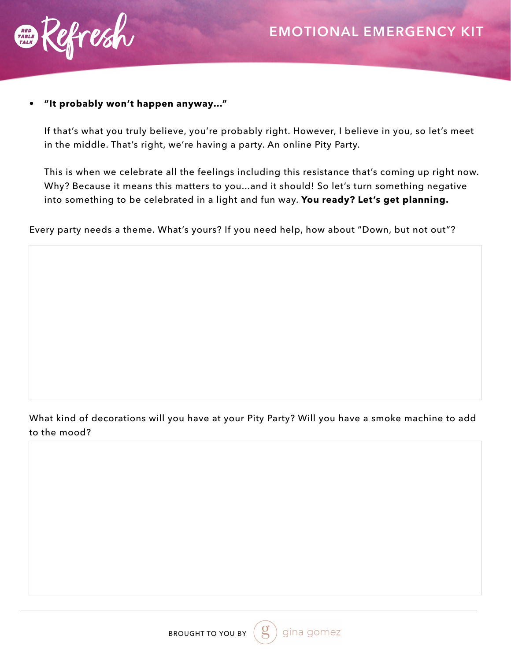

#### **• "It probably won't happen anyway…"**

If that's what you truly believe, you're probably right. However, I believe in you, so let's meet in the middle. That's right, we're having a party. An online Pity Party.

This is when we celebrate all the feelings including this resistance that's coming up right now. Why? Because it means this matters to you...and it should! So let's turn something negative into something to be celebrated in a light and fun way. **You ready? Let's get planning.**

Every party needs a theme. What's yours? If you need help, how about "Down, but not out"?

What kind of decorations will you have at your Pity Party? Will you have a smoke machine to add to the mood?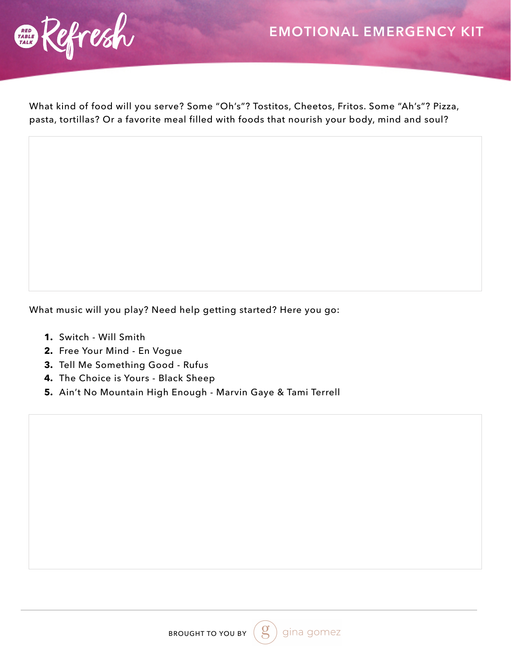

What kind of food will you serve? Some "Oh's"? Tostitos, Cheetos, Fritos. Some "Ah's"? Pizza, pasta, tortillas? Or a favorite meal filled with foods that nourish your body, mind and soul?

What music will you play? Need help getting started? Here you go:

- **1.** Switch Will Smith
- **2.** Free Your Mind En Vogue
- **3.** Tell Me Something Good Rufus
- **4.** The Choice is Yours Black Sheep
- **5.** Ain't No Mountain High Enough Marvin Gaye & Tami Terrell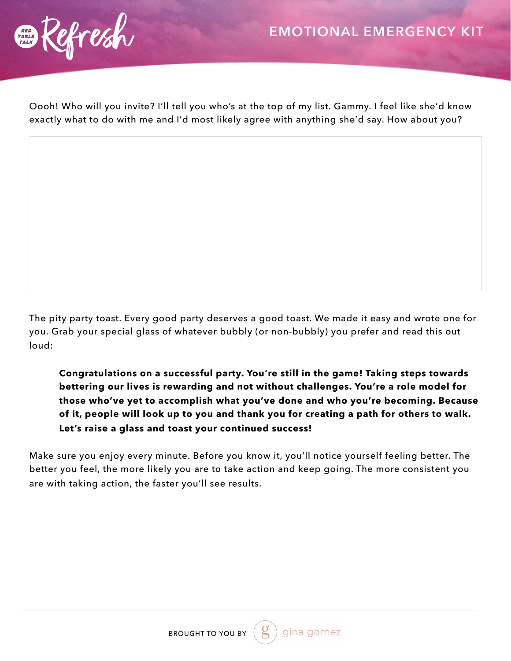

Oooh! Who will you invite? I'll tell you who's at the top of my list. Gammy. I feel like she'd know exactly what to do with me and I'd most likely agree with anything she'd say. How about you?

The pity party toast. Every good party deserves a good toast. We made it easy and wrote one for you. Grab your special glass of whatever bubbly (or non-bubbly) you prefer and read this out loud:

**Congratulations on a successful party. You're still in the game! Taking steps towards bettering our lives is rewarding and not without challenges. You're a role model for those who've yet to accomplish what you've done and who you're becoming. Because of it, people will look up to you and thank you for creating a path for others to walk. Let's raise a glass and toast your continued success!** 

Make sure you enjoy every minute. Before you know it, you'll notice yourself feeling better. The better you feel, the more likely you are to take action and keep going. The more consistent you are with taking action, the faster you'll see results.